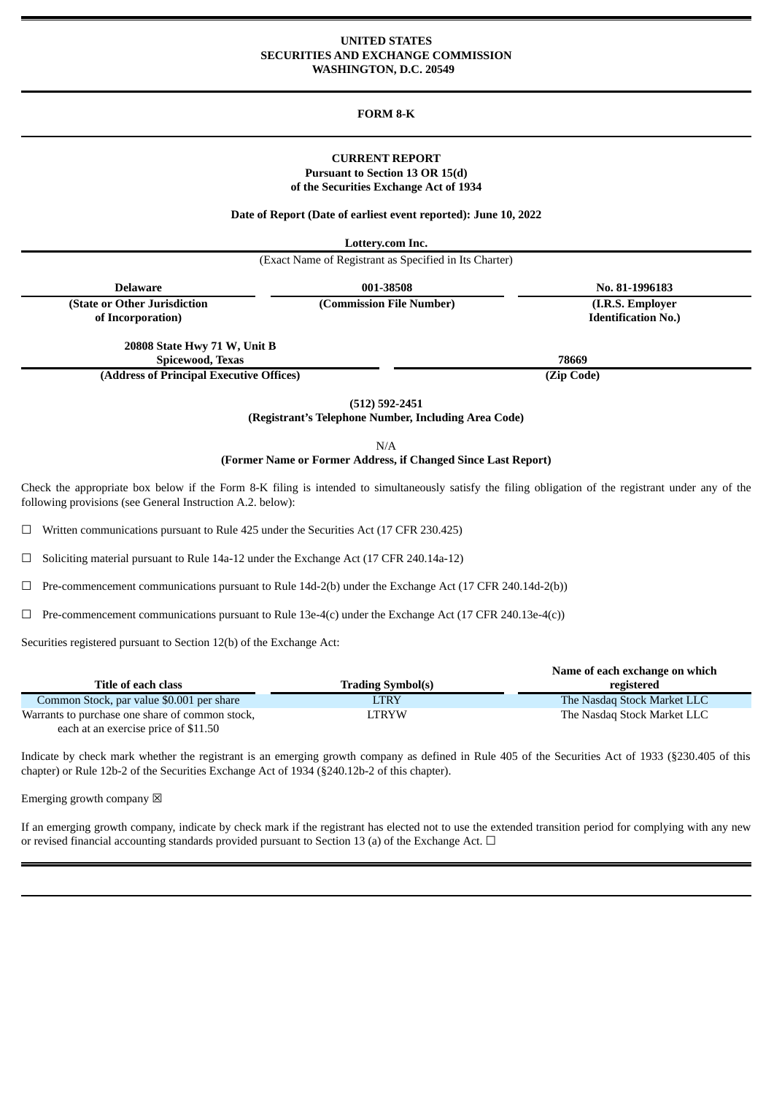#### **UNITED STATES SECURITIES AND EXCHANGE COMMISSION WASHINGTON, D.C. 20549**

### **FORM 8-K**

### **CURRENT REPORT Pursuant to Section 13 OR 15(d) of the Securities Exchange Act of 1934**

#### **Date of Report (Date of earliest event reported): June 10, 2022**

**Lottery.com Inc.**

(Exact Name of Registrant as Specified in Its Charter)

| Delaware                                 | 001-38508                | No. 81-1996183             |  |
|------------------------------------------|--------------------------|----------------------------|--|
| (State or Other Jurisdiction             | (Commission File Number) | (I.R.S. Employer)          |  |
| of Incorporation)                        |                          | <b>Identification No.)</b> |  |
|                                          |                          |                            |  |
| 20808 State Hwy 71 W, Unit B             |                          |                            |  |
| Spicewood, Texas                         |                          | 78669                      |  |
| (Address of Principal Executive Offices) |                          | (Zip Code)                 |  |

**(512) 592-2451**

**(Registrant's Telephone Number, Including Area Code)**

N/A

#### **(Former Name or Former Address, if Changed Since Last Report)**

Check the appropriate box below if the Form 8-K filing is intended to simultaneously satisfy the filing obligation of the registrant under any of the following provisions (see General Instruction A.2. below):

☐ Written communications pursuant to Rule 425 under the Securities Act (17 CFR 230.425)

☐ Soliciting material pursuant to Rule 14a-12 under the Exchange Act (17 CFR 240.14a-12)

 $\Box$  Pre-commencement communications pursuant to Rule 14d-2(b) under the Exchange Act (17 CFR 240.14d-2(b))

 $\Box$  Pre-commencement communications pursuant to Rule 13e-4(c) under the Exchange Act (17 CFR 240.13e-4(c))

Securities registered pursuant to Section 12(b) of the Exchange Act:

|                                                 |                          | Name of each exchange on which |
|-------------------------------------------------|--------------------------|--------------------------------|
| Title of each class                             | <b>Trading Symbol(s)</b> | registered                     |
| Common Stock, par value \$0.001 per share       | LTRY                     | The Nasdag Stock Market LLC    |
| Warrants to purchase one share of common stock, | LTRYW                    | The Nasdag Stock Market LLC    |
| each at an exercise price of \$11.50            |                          |                                |

Indicate by check mark whether the registrant is an emerging growth company as defined in Rule 405 of the Securities Act of 1933 (§230.405 of this chapter) or Rule 12b-2 of the Securities Exchange Act of 1934 (§240.12b-2 of this chapter).

Emerging growth company  $\boxtimes$ 

If an emerging growth company, indicate by check mark if the registrant has elected not to use the extended transition period for complying with any new or revised financial accounting standards provided pursuant to Section 13 (a) of the Exchange Act.  $\Box$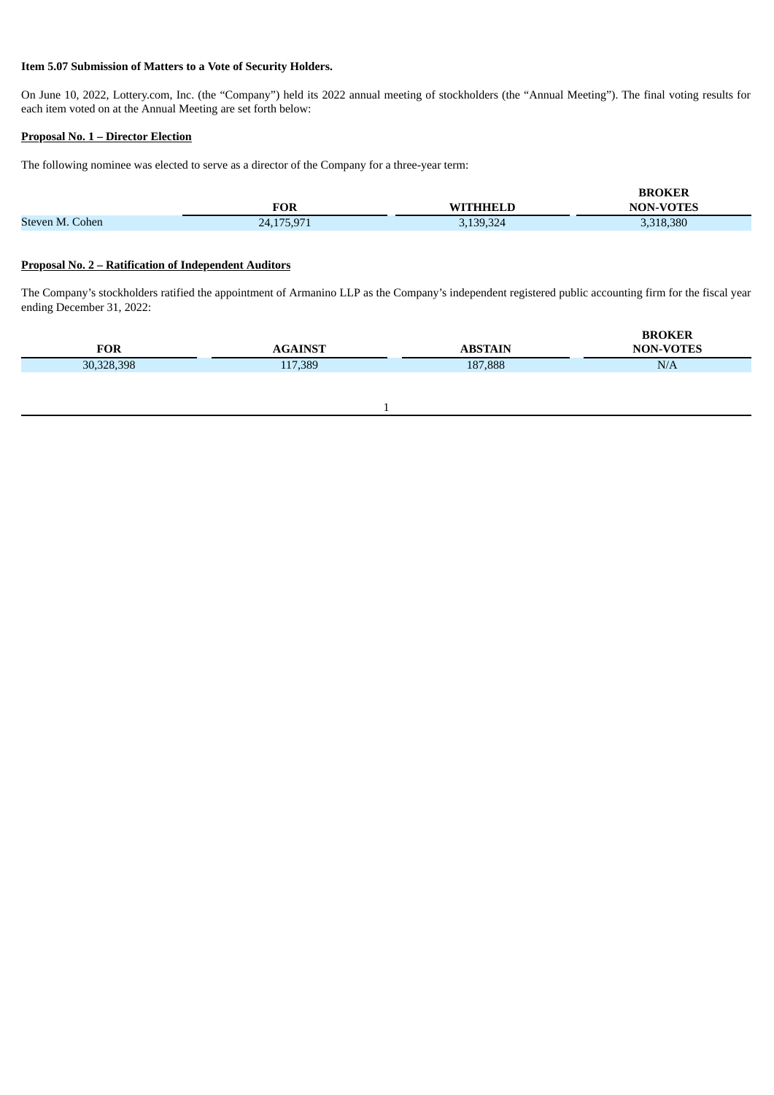# **Item 5.07 Submission of Matters to a Vote of Security Holders.**

On June 10, 2022, Lottery.com, Inc. (the "Company") held its 2022 annual meeting of stockholders (the "Annual Meeting"). The final voting results for each item voted on at the Annual Meeting are set forth below:

### **Proposal No. 1 – Director Election**

The following nominee was elected to serve as a director of the Company for a three-year term:

|                 |            |           | <b>BROKER</b>    |
|-----------------|------------|-----------|------------------|
|                 | FOR        | WITHHELD  | <b>NON-VOTES</b> |
| Steven M. Cohen | 24,175,971 | 3,139,324 | 3,318,380        |

# **Proposal No. 2 – Ratification of Independent Auditors**

The Company's stockholders ratified the appointment of Armanino LLP as the Company's independent registered public accounting firm for the fiscal year ending December 31, 2022:

| FOR        | <b>NINST</b> | BSTAIN  | <b>BROKER</b><br><b>NON-VOTES</b> |
|------------|--------------|---------|-----------------------------------|
| 30,328,398 | 117,389      | 187,888 | N/A                               |
|            |              |         |                                   |

1